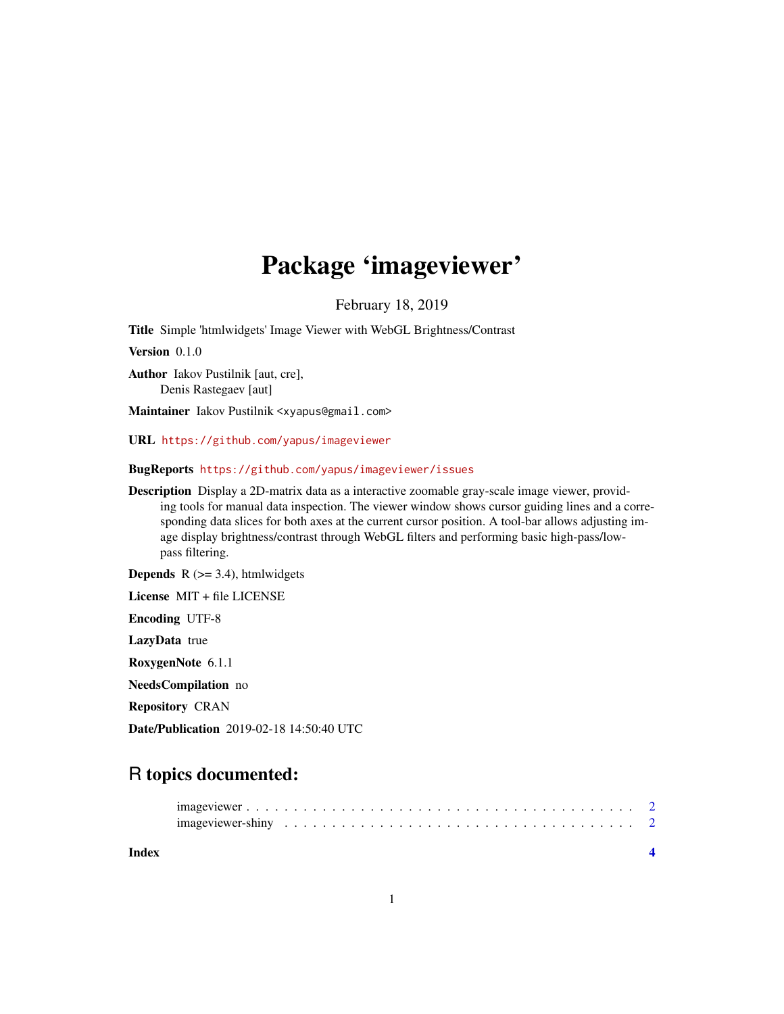## Package 'imageviewer'

February 18, 2019

Title Simple 'htmlwidgets' Image Viewer with WebGL Brightness/Contrast

Version 0.1.0

Author Iakov Pustilnik [aut, cre], Denis Rastegaev [aut]

Maintainer Iakov Pustilnik <xyapus@gmail.com>

URL <https://github.com/yapus/imageviewer>

BugReports <https://github.com/yapus/imageviewer/issues>

Description Display a 2D-matrix data as a interactive zoomable gray-scale image viewer, providing tools for manual data inspection. The viewer window shows cursor guiding lines and a corresponding data slices for both axes at the current cursor position. A tool-bar allows adjusting image display brightness/contrast through WebGL filters and performing basic high-pass/lowpass filtering.

**Depends**  $R$  ( $>= 3.4$ ), htmlwidgets

License MIT + file LICENSE

Encoding UTF-8

LazyData true

RoxygenNote 6.1.1

NeedsCompilation no

Repository CRAN

Date/Publication 2019-02-18 14:50:40 UTC

### R topics documented:

| Index |  |
|-------|--|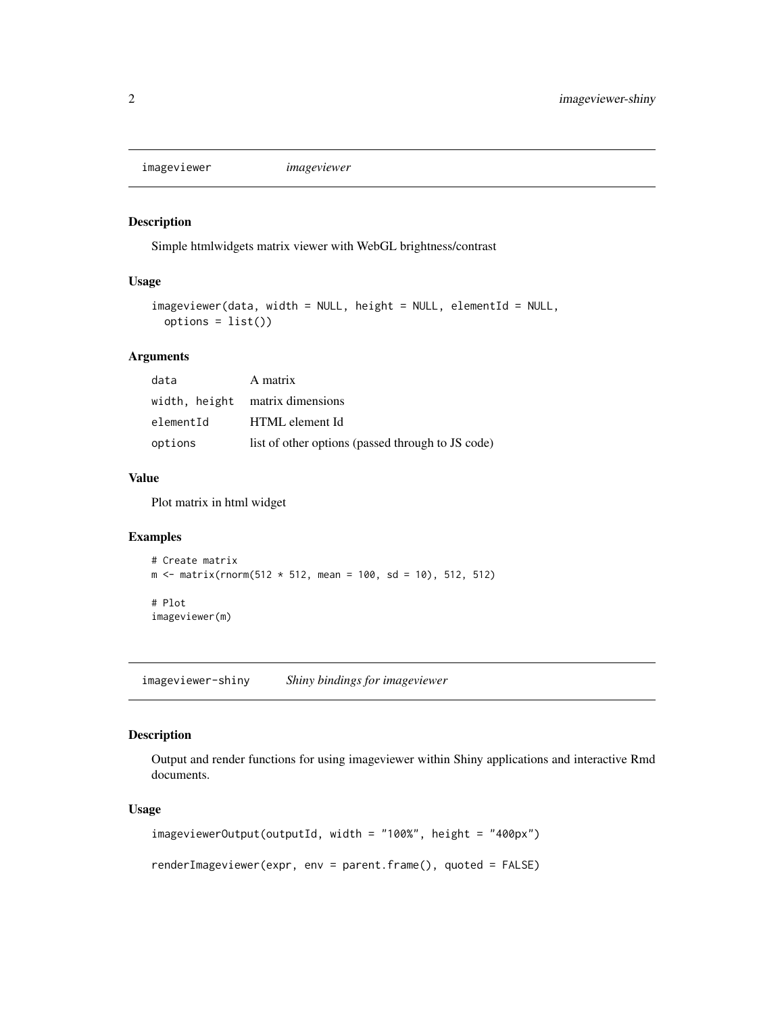<span id="page-1-0"></span>imageviewer *imageviewer*

#### Description

Simple htmlwidgets matrix viewer with WebGL brightness/contrast

#### Usage

```
imageviewer(data, width = NULL, height = NULL, elementId = NULL,
 options = list()
```
#### Arguments

| data      | A matrix                                          |
|-----------|---------------------------------------------------|
|           | width, height matrix dimensions                   |
| elementId | HTML element Id                                   |
| options   | list of other options (passed through to JS code) |

#### Value

Plot matrix in html widget

#### Examples

```
# Create matrix
m \le - matrix(rnorm(512 * 512, mean = 100, sd = 10), 512, 512)
# Plot
imageviewer(m)
```
imageviewer-shiny *Shiny bindings for imageviewer*

#### Description

Output and render functions for using imageviewer within Shiny applications and interactive Rmd documents.

#### Usage

```
imageviewerOutput(outputId, width = "100%", height = "400px")
renderImageviewer(expr, env = parent.frame(), quoted = FALSE)
```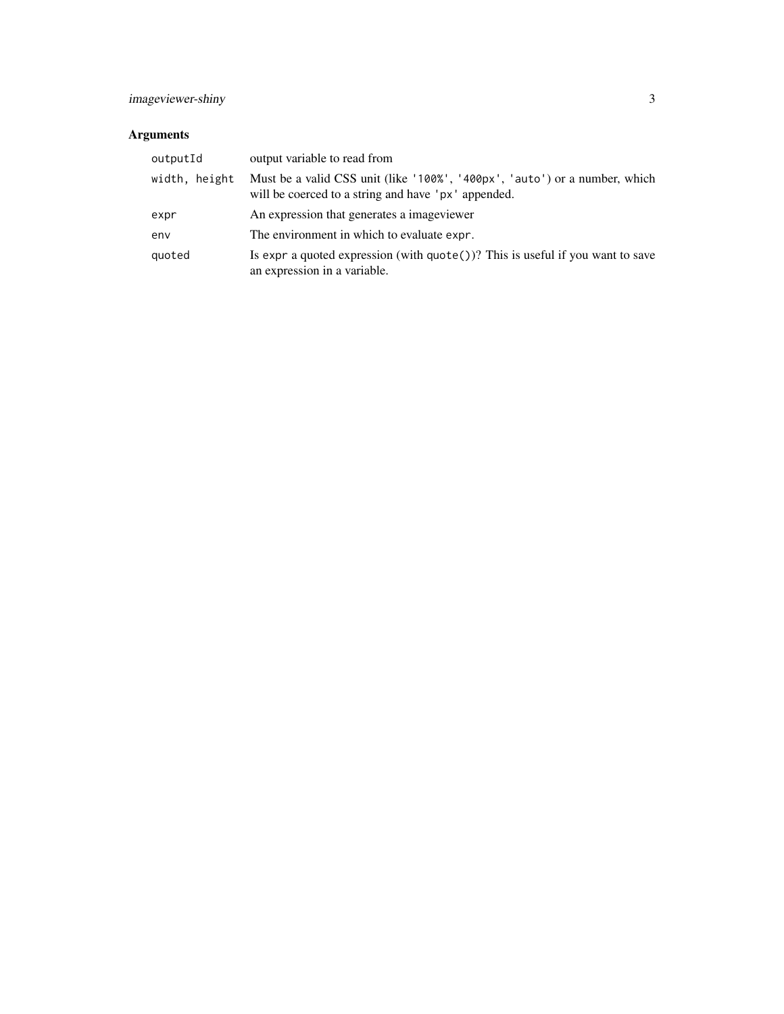#### Arguments

| outputId      | output variable to read from                                                                                                      |
|---------------|-----------------------------------------------------------------------------------------------------------------------------------|
| width, height | Must be a valid CSS unit (like '100%', '400px', 'auto') or a number, which<br>will be coerced to a string and have 'px' appended. |
| expr          | An expression that generates a imageviewer                                                                                        |
| env           | The environment in which to evaluate expr.                                                                                        |
| quoted        | Is expr a quoted expression (with $\eta$ uote())? This is useful if you want to save<br>an expression in a variable.              |